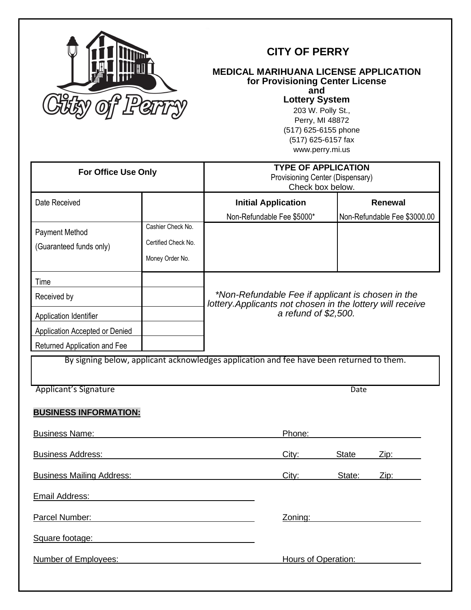

# **CITY OF PERRY**

## **MEDICAL MARIHUANA LICENSE APPLICATION for Provisioning Center License**

**and**

**Lottery System**

203 W. Polly St., Perry, MI 48872 (517) 625-6155 phone (517) 625-6157 fax www.perry.mi.us

| <b>For Office Use Only</b>                                                               |                     | <b>TYPE OF APPLICATION</b><br>Provisioning Center (Dispensary)<br>Check box below.                              |                      |              |                              |
|------------------------------------------------------------------------------------------|---------------------|-----------------------------------------------------------------------------------------------------------------|----------------------|--------------|------------------------------|
| Date Received                                                                            |                     | <b>Initial Application</b>                                                                                      |                      |              | Renewal                      |
|                                                                                          |                     | Non-Refundable Fee \$5000*                                                                                      |                      |              | Non-Refundable Fee \$3000.00 |
| <b>Payment Method</b>                                                                    | Cashier Check No.   |                                                                                                                 |                      |              |                              |
| (Guaranteed funds only)                                                                  | Certified Check No. |                                                                                                                 |                      |              |                              |
|                                                                                          | Money Order No.     |                                                                                                                 |                      |              |                              |
| Time                                                                                     |                     |                                                                                                                 |                      |              |                              |
| Received by                                                                              |                     | *Non-Refundable Fee if applicant is chosen in the<br>lottery. Applicants not chosen in the lottery will receive |                      |              |                              |
| Application Identifier                                                                   |                     |                                                                                                                 | a refund of \$2,500. |              |                              |
| Application Accepted or Denied                                                           |                     |                                                                                                                 |                      |              |                              |
| Returned Application and Fee                                                             |                     |                                                                                                                 |                      |              |                              |
| By signing below, applicant acknowledges application and fee have been returned to them. |                     |                                                                                                                 |                      |              |                              |
| Applicant's Signature                                                                    |                     |                                                                                                                 |                      | Date         |                              |
| <b>BUSINESS INFORMATION:</b>                                                             |                     |                                                                                                                 |                      |              |                              |
| <b>Business Name:</b>                                                                    |                     |                                                                                                                 | Phone:               |              |                              |
| <b>Business Address:</b>                                                                 |                     |                                                                                                                 | City:                | <b>State</b> | Zip:                         |
| <b>Business Mailing Address:</b>                                                         |                     |                                                                                                                 | City:                | State:       | Zip:                         |
| Email Address:                                                                           |                     |                                                                                                                 |                      |              |                              |
| Parcel Number:                                                                           |                     |                                                                                                                 | Zoning:              |              |                              |
| Square footage:                                                                          |                     |                                                                                                                 |                      |              |                              |
| Number of Employees:                                                                     |                     |                                                                                                                 | Hours of Operation:  |              |                              |
|                                                                                          |                     |                                                                                                                 |                      |              |                              |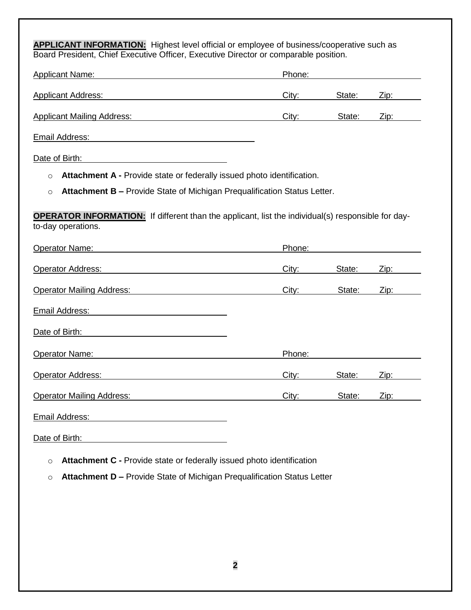**APPLICANT INFORMATION:** Highest level official or employee of business/cooperative such as Board President, Chief Executive Officer, Executive Director or comparable position.

| <b>Applicant Name:</b>            | Phone: |        |      |
|-----------------------------------|--------|--------|------|
| <b>Applicant Address:</b>         | City:  | State: | Zip: |
| <b>Applicant Mailing Address:</b> | City:  | State: | Zip: |

Email Address:

Date of Birth:

o **Attachment A -** Provide state or federally issued photo identification.

o **Attachment B –** Provide State of Michigan Prequalification Status Letter.

**OPERATOR INFORMATION:** If different than the applicant, list the individual(s) responsible for dayto-day operations.

| <b>Operator Name:</b>            | Phone: |        |             |
|----------------------------------|--------|--------|-------------|
| <b>Operator Address:</b>         | City:  | State: | <u>Zip:</u> |
| <b>Operator Mailing Address:</b> | City:  | State: | Zip:        |
| Email Address:                   |        |        |             |
| Date of Birth:                   |        |        |             |
| <b>Operator Name:</b>            | Phone: |        |             |
| Operator Address:                | City:  | State: | Zip:        |
| <b>Operator Mailing Address:</b> | City:  | State: | <u>Zip:</u> |
| Email Address:                   |        |        |             |

Date of Birth:

- o **Attachment C -** Provide state or federally issued photo identification
- o **Attachment D –** Provide State of Michigan Prequalification Status Letter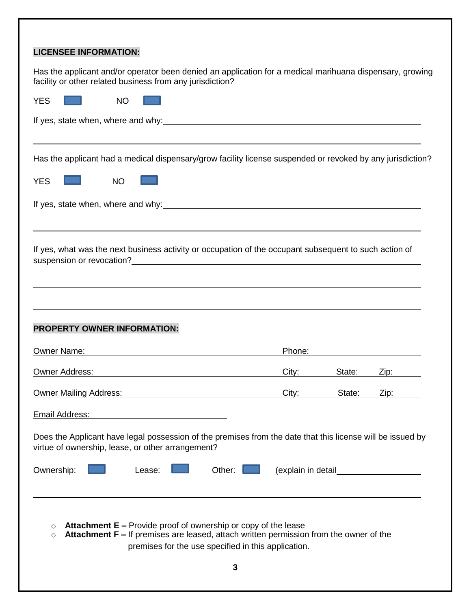| <b>LICENSEE INFORMATION:</b>                                                                                                                                                                                                                                                                                                                     |  |  |  |  |
|--------------------------------------------------------------------------------------------------------------------------------------------------------------------------------------------------------------------------------------------------------------------------------------------------------------------------------------------------|--|--|--|--|
| Has the applicant and/or operator been denied an application for a medical marihuana dispensary, growing<br>facility or other related business from any jurisdiction?                                                                                                                                                                            |  |  |  |  |
| <b>NO</b><br><b>YES</b>                                                                                                                                                                                                                                                                                                                          |  |  |  |  |
|                                                                                                                                                                                                                                                                                                                                                  |  |  |  |  |
| Has the applicant had a medical dispensary/grow facility license suspended or revoked by any jurisdiction?                                                                                                                                                                                                                                       |  |  |  |  |
| <b>YES</b><br><b>NO</b>                                                                                                                                                                                                                                                                                                                          |  |  |  |  |
|                                                                                                                                                                                                                                                                                                                                                  |  |  |  |  |
| If yes, what was the next business activity or occupation of the occupant subsequent to such action of<br>suspension or revocation?<br><u> and the contract of the contract of the contract of the contract of the contract of the contract of the contract of the contract of the contract of the contract of the contract of the contract </u> |  |  |  |  |
|                                                                                                                                                                                                                                                                                                                                                  |  |  |  |  |
| <b>PROPERTY OWNER INFORMATION:</b>                                                                                                                                                                                                                                                                                                               |  |  |  |  |
| Owner Name: Name: Name: Name: Name: Name: Name: Name: Name: Name: Name: Name: Name: Name: Name: Name: Name: Name: Name: Name: Name: Name: Name: Name: Name: Name: Name: Name: Name: Name: Name: Name: Name: Name: Name: Name:<br>Phone:                                                                                                          |  |  |  |  |
| <b>Owner Address:</b><br>City:<br>State:<br>Zip:                                                                                                                                                                                                                                                                                                 |  |  |  |  |
| Owner Mailing Address:<br>City:<br>State:<br>Zip:                                                                                                                                                                                                                                                                                                |  |  |  |  |
| <b>Email Address:</b>                                                                                                                                                                                                                                                                                                                            |  |  |  |  |
| Does the Applicant have legal possession of the premises from the date that this license will be issued by<br>virtue of ownership, lease, or other arrangement?                                                                                                                                                                                  |  |  |  |  |
| Ownership:<br>Other:<br>(explain in detail___________<br>Lease:                                                                                                                                                                                                                                                                                  |  |  |  |  |
| <b>Attachment <math>E</math> – Provide proof of ownership or copy of the lease</b><br>$\circ$<br>Attachment F – If premises are leased, attach written permission from the owner of the<br>$\circ$<br>premises for the use specified in this application.<br>3                                                                                   |  |  |  |  |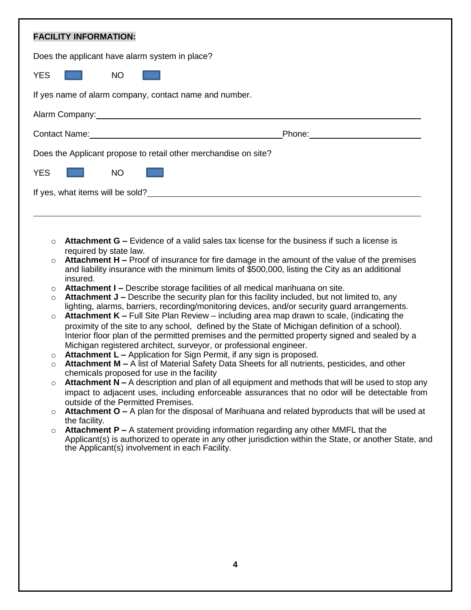| <b>FACILITY INFORMATION:</b>                                                                                                                                                                                                                                                                                                                                                                                                                                                                                                                                                                                                                                                                                                                                                                                                                                                                                                                                                                                                                                                                                                                                                                                                                                                                                                                                                                                                                                                                                                                                                                                                                                                                                                                                                                                                                                                                                                                                                 |  |  |  |  |
|------------------------------------------------------------------------------------------------------------------------------------------------------------------------------------------------------------------------------------------------------------------------------------------------------------------------------------------------------------------------------------------------------------------------------------------------------------------------------------------------------------------------------------------------------------------------------------------------------------------------------------------------------------------------------------------------------------------------------------------------------------------------------------------------------------------------------------------------------------------------------------------------------------------------------------------------------------------------------------------------------------------------------------------------------------------------------------------------------------------------------------------------------------------------------------------------------------------------------------------------------------------------------------------------------------------------------------------------------------------------------------------------------------------------------------------------------------------------------------------------------------------------------------------------------------------------------------------------------------------------------------------------------------------------------------------------------------------------------------------------------------------------------------------------------------------------------------------------------------------------------------------------------------------------------------------------------------------------------|--|--|--|--|
| Does the applicant have alarm system in place?                                                                                                                                                                                                                                                                                                                                                                                                                                                                                                                                                                                                                                                                                                                                                                                                                                                                                                                                                                                                                                                                                                                                                                                                                                                                                                                                                                                                                                                                                                                                                                                                                                                                                                                                                                                                                                                                                                                               |  |  |  |  |
| <b>YES</b><br><b>NO</b>                                                                                                                                                                                                                                                                                                                                                                                                                                                                                                                                                                                                                                                                                                                                                                                                                                                                                                                                                                                                                                                                                                                                                                                                                                                                                                                                                                                                                                                                                                                                                                                                                                                                                                                                                                                                                                                                                                                                                      |  |  |  |  |
| If yes name of alarm company, contact name and number.                                                                                                                                                                                                                                                                                                                                                                                                                                                                                                                                                                                                                                                                                                                                                                                                                                                                                                                                                                                                                                                                                                                                                                                                                                                                                                                                                                                                                                                                                                                                                                                                                                                                                                                                                                                                                                                                                                                       |  |  |  |  |
| Alarm Company: Note of the Company of the Company of the Company of the Company of the Company of the Company of the Company of the Company of the Company of the Company of the Company of the Company of the Company of the                                                                                                                                                                                                                                                                                                                                                                                                                                                                                                                                                                                                                                                                                                                                                                                                                                                                                                                                                                                                                                                                                                                                                                                                                                                                                                                                                                                                                                                                                                                                                                                                                                                                                                                                                |  |  |  |  |
|                                                                                                                                                                                                                                                                                                                                                                                                                                                                                                                                                                                                                                                                                                                                                                                                                                                                                                                                                                                                                                                                                                                                                                                                                                                                                                                                                                                                                                                                                                                                                                                                                                                                                                                                                                                                                                                                                                                                                                              |  |  |  |  |
| Does the Applicant propose to retail other merchandise on site?                                                                                                                                                                                                                                                                                                                                                                                                                                                                                                                                                                                                                                                                                                                                                                                                                                                                                                                                                                                                                                                                                                                                                                                                                                                                                                                                                                                                                                                                                                                                                                                                                                                                                                                                                                                                                                                                                                              |  |  |  |  |
| <b>YES</b><br><b>NO</b>                                                                                                                                                                                                                                                                                                                                                                                                                                                                                                                                                                                                                                                                                                                                                                                                                                                                                                                                                                                                                                                                                                                                                                                                                                                                                                                                                                                                                                                                                                                                                                                                                                                                                                                                                                                                                                                                                                                                                      |  |  |  |  |
|                                                                                                                                                                                                                                                                                                                                                                                                                                                                                                                                                                                                                                                                                                                                                                                                                                                                                                                                                                                                                                                                                                                                                                                                                                                                                                                                                                                                                                                                                                                                                                                                                                                                                                                                                                                                                                                                                                                                                                              |  |  |  |  |
|                                                                                                                                                                                                                                                                                                                                                                                                                                                                                                                                                                                                                                                                                                                                                                                                                                                                                                                                                                                                                                                                                                                                                                                                                                                                                                                                                                                                                                                                                                                                                                                                                                                                                                                                                                                                                                                                                                                                                                              |  |  |  |  |
| <b>Attachment G –</b> Evidence of a valid sales tax license for the business if such a license is<br>$\circ$<br>required by state law.<br>Attachment H - Proof of insurance for fire damage in the amount of the value of the premises<br>$\circ$<br>and liability insurance with the minimum limits of \$500,000, listing the City as an additional<br>insured.<br>Attachment I - Describe storage facilities of all medical marihuana on site.<br>$\circ$<br>Attachment J - Describe the security plan for this facility included, but not limited to, any<br>$\circ$<br>lighting, alarms, barriers, recording/monitoring devices, and/or security guard arrangements.<br><b>Attachment K – Full Site Plan Review – including area map drawn to scale, (indicating the</b><br>$\circ$<br>proximity of the site to any school, defined by the State of Michigan definition of a school).<br>Interior floor plan of the permitted premises and the permitted property signed and sealed by a<br>Michigan registered architect, surveyor, or professional engineer.<br>Attachment L - Application for Sign Permit, if any sign is proposed.<br>$\circ$<br>Attachment M - A list of Material Safety Data Sheets for all nutrients, pesticides, and other<br>$\circ$<br>chemicals proposed for use in the facility<br><b>Attachment N</b> $-$ A description and plan of all equipment and methods that will be used to stop any<br>$\circ$<br>impact to adjacent uses, including enforceable assurances that no odor will be detectable from<br>outside of the Permitted Premises.<br>Attachment O - A plan for the disposal of Marihuana and related byproducts that will be used at<br>$\circ$<br>the facility.<br>Attachment P - A statement providing information regarding any other MMFL that the<br>$\circ$<br>Applicant(s) is authorized to operate in any other jurisdiction within the State, or another State, and<br>the Applicant(s) involvement in each Facility. |  |  |  |  |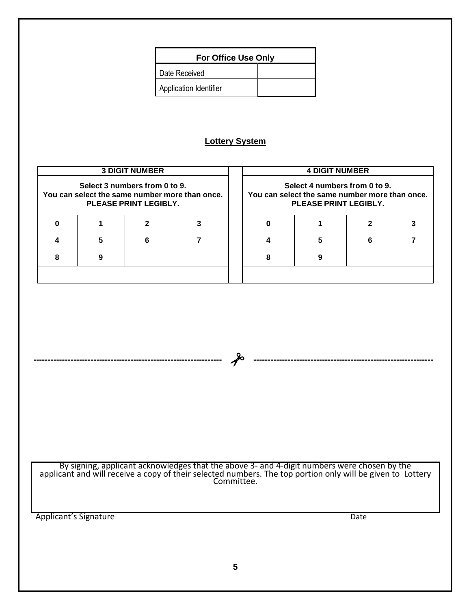| <b>For Office Use Only</b> |  |  |
|----------------------------|--|--|
| Date Received              |  |  |
| Application Identifier     |  |  |

## **Lottery System**

| <b>3 DIGIT NUMBER</b>                                                                                           |  |                                                                                                          | <b>4 DIGIT NUMBER</b> |  |  |  |  |
|-----------------------------------------------------------------------------------------------------------------|--|----------------------------------------------------------------------------------------------------------|-----------------------|--|--|--|--|
| Select 3 numbers from 0 to 9.<br>You can select the same number more than once.<br><b>PLEASE PRINT LEGIBLY.</b> |  | Select 4 numbers from 0 to 9.<br>You can select the same number more than once.<br>PLEASE PRINT LEGIBLY. |                       |  |  |  |  |
|                                                                                                                 |  |                                                                                                          |                       |  |  |  |  |
|                                                                                                                 |  | 6                                                                                                        |                       |  |  |  |  |
|                                                                                                                 |  |                                                                                                          |                       |  |  |  |  |
|                                                                                                                 |  |                                                                                                          |                       |  |  |  |  |

By signing, applicant acknowledges that the above 3- and 4-digit numbers were chosen by the applicant and will receive a copy of their selected numbers. The top portion only will be given to Lottery Committee.

**------------------------------------------------------------------ ---------------------------------------------------------------**

Applicant's Signature Date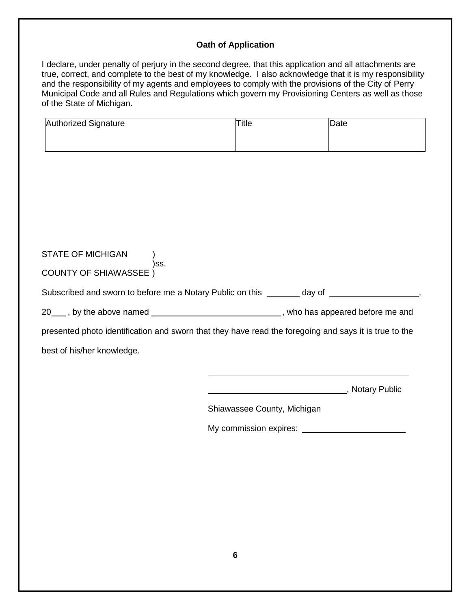## **Oath of Application**

I declare, under penalty of perjury in the second degree, that this application and all attachments are true, correct, and complete to the best of my knowledge. I also acknowledge that it is my responsibility and the responsibility of my agents and employees to comply with the provisions of the City of Perry Municipal Code and all Rules and Regulations which govern my Provisioning Centers as well as those of the State of Michigan.

| Authorized Signature                                                                                  | <b>Title</b>                | Date          |
|-------------------------------------------------------------------------------------------------------|-----------------------------|---------------|
|                                                                                                       |                             |               |
|                                                                                                       |                             |               |
|                                                                                                       |                             |               |
|                                                                                                       |                             |               |
|                                                                                                       |                             |               |
|                                                                                                       |                             |               |
| STATE OF MICHIGAN<br>)ss.                                                                             |                             |               |
| <b>COUNTY OF SHIAWASSEE</b> )                                                                         |                             |               |
| Subscribed and sworn to before me a Notary Public on this _______ day of ________________________,    |                             |               |
| 20____, by the above named ________________________________, who has appeared before me and           |                             |               |
| presented photo identification and sworn that they have read the foregoing and says it is true to the |                             |               |
| best of his/her knowledge.                                                                            |                             |               |
|                                                                                                       |                             |               |
|                                                                                                       |                             | Motary Public |
|                                                                                                       | Shiawassee County, Michigan |               |
|                                                                                                       |                             |               |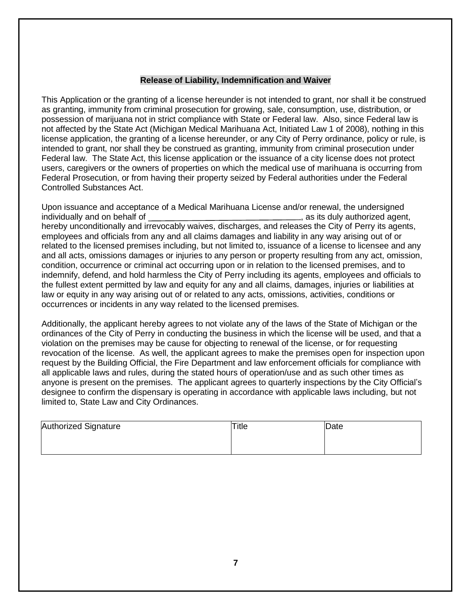#### **Release of Liability, Indemnification and Waiver**

This Application or the granting of a license hereunder is not intended to grant, nor shall it be construed as granting, immunity from criminal prosecution for growing, sale, consumption, use, distribution, or possession of marijuana not in strict compliance with State or Federal law. Also, since Federal law is not affected by the State Act (Michigan Medical Marihuana Act, Initiated Law 1 of 2008), nothing in this license application, the granting of a license hereunder, or any City of Perry ordinance, policy or rule, is intended to grant, nor shall they be construed as granting, immunity from criminal prosecution under Federal law. The State Act, this license application or the issuance of a city license does not protect users, caregivers or the owners of properties on which the medical use of marihuana is occurring from Federal Prosecution, or from having their property seized by Federal authorities under the Federal Controlled Substances Act.

Upon issuance and acceptance of a Medical Marihuana License and/or renewal, the undersigned individually and on behalf of  $\overline{\phantom{a}}$ , as its duly authorized agent, hereby unconditionally and irrevocably waives, discharges, and releases the City of Perry its agents, employees and officials from any and all claims damages and liability in any way arising out of or related to the licensed premises including, but not limited to, issuance of a license to licensee and any and all acts, omissions damages or injuries to any person or property resulting from any act, omission, condition, occurrence or criminal act occurring upon or in relation to the licensed premises, and to indemnify, defend, and hold harmless the City of Perry including its agents, employees and officials to the fullest extent permitted by law and equity for any and all claims, damages, injuries or liabilities at law or equity in any way arising out of or related to any acts, omissions, activities, conditions or occurrences or incidents in any way related to the licensed premises.

Additionally, the applicant hereby agrees to not violate any of the laws of the State of Michigan or the ordinances of the City of Perry in conducting the business in which the license will be used, and that a violation on the premises may be cause for objecting to renewal of the license, or for requesting revocation of the license. As well, the applicant agrees to make the premises open for inspection upon request by the Building Official, the Fire Department and law enforcement officials for compliance with all applicable laws and rules, during the stated hours of operation/use and as such other times as anyone is present on the premises. The applicant agrees to quarterly inspections by the City Official's designee to confirm the dispensary is operating in accordance with applicable laws including, but not limited to, State Law and City Ordinances.

| Authorized Signature | Title | Date |
|----------------------|-------|------|
|                      |       |      |